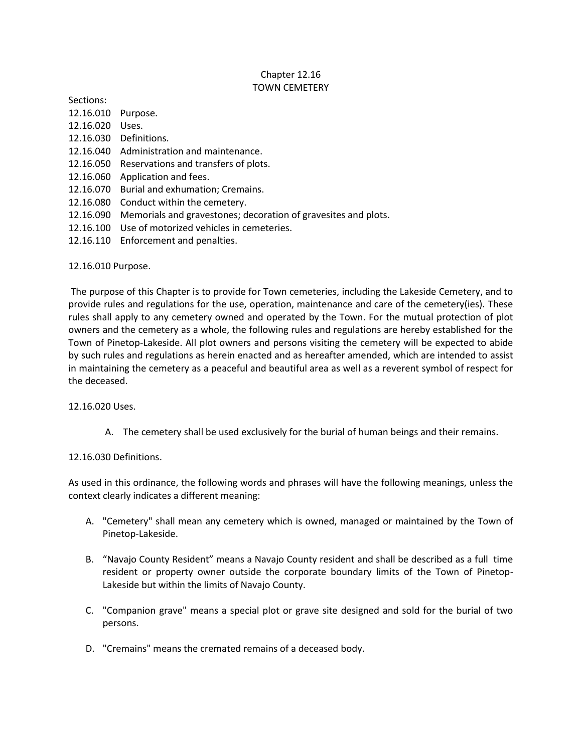## Chapter 12.16 TOWN CEMETERY

Sections:

- 12.16.010 Purpose. 12.16.020 Uses.
- 12.16.030 Definitions.
- 12.16.040 Administration and maintenance.
- 12.16.050 Reservations and transfers of plots.
- 12.16.060 Application and fees.
- 12.16.070 Burial and exhumation; Cremains.
- 12.16.080 Conduct within the cemetery.
- 12.16.090 Memorials and gravestones; decoration of gravesites and plots.
- 12.16.100 Use of motorized vehicles in cemeteries.
- 12.16.110 Enforcement and penalties.

## 12.16.010 Purpose.

The purpose of this Chapter is to provide for Town cemeteries, including the Lakeside Cemetery, and to provide rules and regulations for the use, operation, maintenance and care of the cemetery(ies). These rules shall apply to any cemetery owned and operated by the Town. For the mutual protection of plot owners and the cemetery as a whole, the following rules and regulations are hereby established for the Town of Pinetop-Lakeside. All plot owners and persons visiting the cemetery will be expected to abide by such rules and regulations as herein enacted and as hereafter amended, which are intended to assist in maintaining the cemetery as a peaceful and beautiful area as well as a reverent symbol of respect for the deceased.

## 12.16.020 Uses.

A. The cemetery shall be used exclusively for the burial of human beings and their remains.

## 12.16.030 Definitions.

As used in this ordinance, the following words and phrases will have the following meanings, unless the context clearly indicates a different meaning:

- A. "Cemetery" shall mean any cemetery which is owned, managed or maintained by the Town of Pinetop-Lakeside.
- B. "Navajo County Resident" means a Navajo County resident and shall be described as a full time resident or property owner outside the corporate boundary limits of the Town of Pinetop-Lakeside but within the limits of Navajo County.
- C. "Companion grave" means a special plot or grave site designed and sold for the burial of two persons.
- D. "Cremains" means the cremated remains of a deceased body.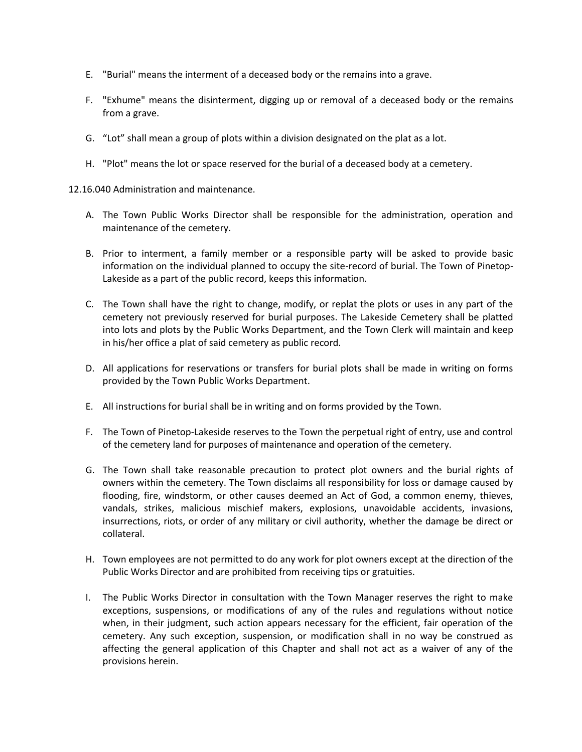- E. "Burial" means the interment of a deceased body or the remains into a grave.
- F. "Exhume" means the disinterment, digging up or removal of a deceased body or the remains from a grave.
- G. "Lot" shall mean a group of plots within a division designated on the plat as a lot.
- H. "Plot" means the lot or space reserved for the burial of a deceased body at a cemetery.

12.16.040 Administration and maintenance.

- A. The Town Public Works Director shall be responsible for the administration, operation and maintenance of the cemetery.
- B. Prior to interment, a family member or a responsible party will be asked to provide basic information on the individual planned to occupy the site-record of burial. The Town of Pinetop-Lakeside as a part of the public record, keeps this information.
- C. The Town shall have the right to change, modify, or replat the plots or uses in any part of the cemetery not previously reserved for burial purposes. The Lakeside Cemetery shall be platted into lots and plots by the Public Works Department, and the Town Clerk will maintain and keep in his/her office a plat of said cemetery as public record.
- D. All applications for reservations or transfers for burial plots shall be made in writing on forms provided by the Town Public Works Department.
- E. All instructions for burial shall be in writing and on forms provided by the Town.
- F. The Town of Pinetop-Lakeside reserves to the Town the perpetual right of entry, use and control of the cemetery land for purposes of maintenance and operation of the cemetery.
- G. The Town shall take reasonable precaution to protect plot owners and the burial rights of owners within the cemetery. The Town disclaims all responsibility for loss or damage caused by flooding, fire, windstorm, or other causes deemed an Act of God, a common enemy, thieves, vandals, strikes, malicious mischief makers, explosions, unavoidable accidents, invasions, insurrections, riots, or order of any military or civil authority, whether the damage be direct or collateral.
- H. Town employees are not permitted to do any work for plot owners except at the direction of the Public Works Director and are prohibited from receiving tips or gratuities.
- I. The Public Works Director in consultation with the Town Manager reserves the right to make exceptions, suspensions, or modifications of any of the rules and regulations without notice when, in their judgment, such action appears necessary for the efficient, fair operation of the cemetery. Any such exception, suspension, or modification shall in no way be construed as affecting the general application of this Chapter and shall not act as a waiver of any of the provisions herein.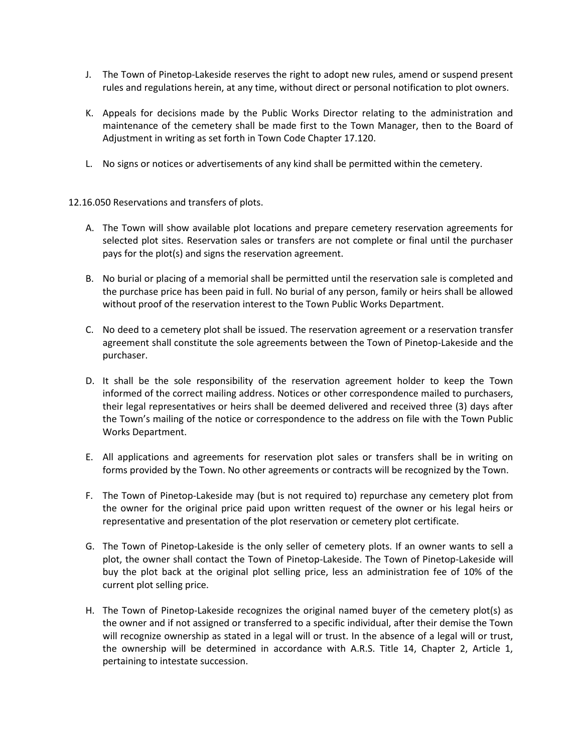- J. The Town of Pinetop-Lakeside reserves the right to adopt new rules, amend or suspend present rules and regulations herein, at any time, without direct or personal notification to plot owners.
- K. Appeals for decisions made by the Public Works Director relating to the administration and maintenance of the cemetery shall be made first to the Town Manager, then to the Board of Adjustment in writing as set forth in Town Code Chapter 17.120.
- L. No signs or notices or advertisements of any kind shall be permitted within the cemetery.
- 12.16.050 Reservations and transfers of plots.
	- A. The Town will show available plot locations and prepare cemetery reservation agreements for selected plot sites. Reservation sales or transfers are not complete or final until the purchaser pays for the plot(s) and signs the reservation agreement.
	- B. No burial or placing of a memorial shall be permitted until the reservation sale is completed and the purchase price has been paid in full. No burial of any person, family or heirs shall be allowed without proof of the reservation interest to the Town Public Works Department.
	- C. No deed to a cemetery plot shall be issued. The reservation agreement or a reservation transfer agreement shall constitute the sole agreements between the Town of Pinetop-Lakeside and the purchaser.
	- D. It shall be the sole responsibility of the reservation agreement holder to keep the Town informed of the correct mailing address. Notices or other correspondence mailed to purchasers, their legal representatives or heirs shall be deemed delivered and received three (3) days after the Town's mailing of the notice or correspondence to the address on file with the Town Public Works Department.
	- E. All applications and agreements for reservation plot sales or transfers shall be in writing on forms provided by the Town. No other agreements or contracts will be recognized by the Town.
	- F. The Town of Pinetop-Lakeside may (but is not required to) repurchase any cemetery plot from the owner for the original price paid upon written request of the owner or his legal heirs or representative and presentation of the plot reservation or cemetery plot certificate.
	- G. The Town of Pinetop-Lakeside is the only seller of cemetery plots. If an owner wants to sell a plot, the owner shall contact the Town of Pinetop-Lakeside. The Town of Pinetop-Lakeside will buy the plot back at the original plot selling price, less an administration fee of 10% of the current plot selling price.
	- H. The Town of Pinetop-Lakeside recognizes the original named buyer of the cemetery plot(s) as the owner and if not assigned or transferred to a specific individual, after their demise the Town will recognize ownership as stated in a legal will or trust. In the absence of a legal will or trust, the ownership will be determined in accordance with A.R.S. Title 14, Chapter 2, Article 1, pertaining to intestate succession.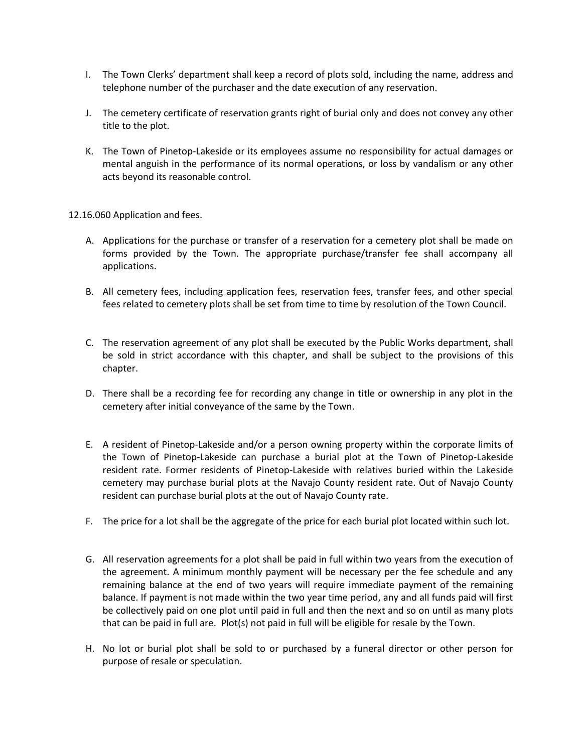- I. The Town Clerks' department shall keep a record of plots sold, including the name, address and telephone number of the purchaser and the date execution of any reservation.
- J. The cemetery certificate of reservation grants right of burial only and does not convey any other title to the plot.
- K. The Town of Pinetop-Lakeside or its employees assume no responsibility for actual damages or mental anguish in the performance of its normal operations, or loss by vandalism or any other acts beyond its reasonable control.

12.16.060 Application and fees.

- A. Applications for the purchase or transfer of a reservation for a cemetery plot shall be made on forms provided by the Town. The appropriate purchase/transfer fee shall accompany all applications.
- B. All cemetery fees, including application fees, reservation fees, transfer fees, and other special fees related to cemetery plots shall be set from time to time by resolution of the Town Council.
- C. The reservation agreement of any plot shall be executed by the Public Works department, shall be sold in strict accordance with this chapter, and shall be subject to the provisions of this chapter.
- D. There shall be a recording fee for recording any change in title or ownership in any plot in the cemetery after initial conveyance of the same by the Town.
- E. A resident of Pinetop-Lakeside and/or a person owning property within the corporate limits of the Town of Pinetop-Lakeside can purchase a burial plot at the Town of Pinetop-Lakeside resident rate. Former residents of Pinetop-Lakeside with relatives buried within the Lakeside cemetery may purchase burial plots at the Navajo County resident rate. Out of Navajo County resident can purchase burial plots at the out of Navajo County rate.
- F. The price for a lot shall be the aggregate of the price for each burial plot located within such lot.
- G. All reservation agreements for a plot shall be paid in full within two years from the execution of the agreement. A minimum monthly payment will be necessary per the fee schedule and any remaining balance at the end of two years will require immediate payment of the remaining balance. If payment is not made within the two year time period, any and all funds paid will first be collectively paid on one plot until paid in full and then the next and so on until as many plots that can be paid in full are. Plot(s) not paid in full will be eligible for resale by the Town.
- H. No lot or burial plot shall be sold to or purchased by a funeral director or other person for purpose of resale or speculation.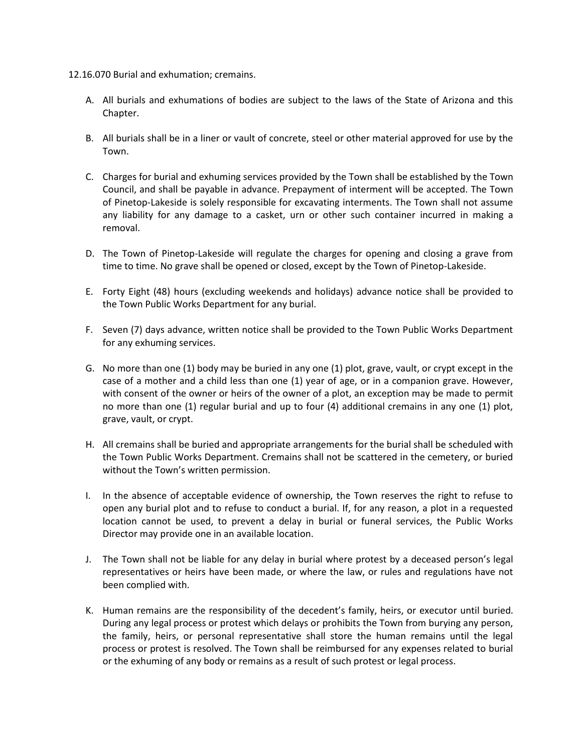- 12.16.070 Burial and exhumation; cremains.
	- A. All burials and exhumations of bodies are subject to the laws of the State of Arizona and this Chapter.
	- B. All burials shall be in a liner or vault of concrete, steel or other material approved for use by the Town.
	- C. Charges for burial and exhuming services provided by the Town shall be established by the Town Council, and shall be payable in advance. Prepayment of interment will be accepted. The Town of Pinetop-Lakeside is solely responsible for excavating interments. The Town shall not assume any liability for any damage to a casket, urn or other such container incurred in making a removal.
	- D. The Town of Pinetop-Lakeside will regulate the charges for opening and closing a grave from time to time. No grave shall be opened or closed, except by the Town of Pinetop-Lakeside.
	- E. Forty Eight (48) hours (excluding weekends and holidays) advance notice shall be provided to the Town Public Works Department for any burial.
	- F. Seven (7) days advance, written notice shall be provided to the Town Public Works Department for any exhuming services.
	- G. No more than one (1) body may be buried in any one (1) plot, grave, vault, or crypt except in the case of a mother and a child less than one (1) year of age, or in a companion grave. However, with consent of the owner or heirs of the owner of a plot, an exception may be made to permit no more than one (1) regular burial and up to four (4) additional cremains in any one (1) plot, grave, vault, or crypt.
	- H. All cremains shall be buried and appropriate arrangements for the burial shall be scheduled with the Town Public Works Department. Cremains shall not be scattered in the cemetery, or buried without the Town's written permission.
	- I. In the absence of acceptable evidence of ownership, the Town reserves the right to refuse to open any burial plot and to refuse to conduct a burial. If, for any reason, a plot in a requested location cannot be used, to prevent a delay in burial or funeral services, the Public Works Director may provide one in an available location.
	- J. The Town shall not be liable for any delay in burial where protest by a deceased person's legal representatives or heirs have been made, or where the law, or rules and regulations have not been complied with.
	- K. Human remains are the responsibility of the decedent's family, heirs, or executor until buried. During any legal process or protest which delays or prohibits the Town from burying any person, the family, heirs, or personal representative shall store the human remains until the legal process or protest is resolved. The Town shall be reimbursed for any expenses related to burial or the exhuming of any body or remains as a result of such protest or legal process.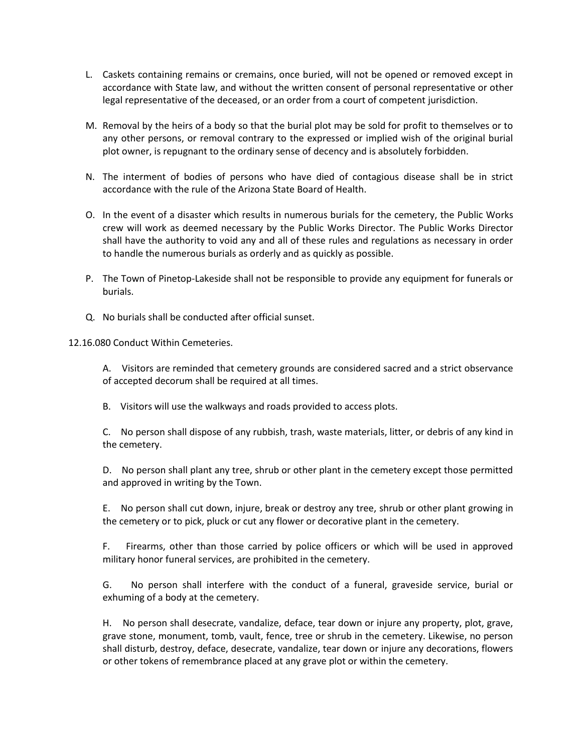- L. Caskets containing remains or cremains, once buried, will not be opened or removed except in accordance with State law, and without the written consent of personal representative or other legal representative of the deceased, or an order from a court of competent jurisdiction.
- M. Removal by the heirs of a body so that the burial plot may be sold for profit to themselves or to any other persons, or removal contrary to the expressed or implied wish of the original burial plot owner, is repugnant to the ordinary sense of decency and is absolutely forbidden.
- N. The interment of bodies of persons who have died of contagious disease shall be in strict accordance with the rule of the Arizona State Board of Health.
- O. In the event of a disaster which results in numerous burials for the cemetery, the Public Works crew will work as deemed necessary by the Public Works Director. The Public Works Director shall have the authority to void any and all of these rules and regulations as necessary in order to handle the numerous burials as orderly and as quickly as possible.
- P. The Town of Pinetop-Lakeside shall not be responsible to provide any equipment for funerals or burials.
- Q. No burials shall be conducted after official sunset.

12.16.080 Conduct Within Cemeteries.

A. Visitors are reminded that cemetery grounds are considered sacred and a strict observance of accepted decorum shall be required at all times.

B. Visitors will use the walkways and roads provided to access plots.

C. No person shall dispose of any rubbish, trash, waste materials, litter, or debris of any kind in the cemetery.

D. No person shall plant any tree, shrub or other plant in the cemetery except those permitted and approved in writing by the Town.

E. No person shall cut down, injure, break or destroy any tree, shrub or other plant growing in the cemetery or to pick, pluck or cut any flower or decorative plant in the cemetery.

F. Firearms, other than those carried by police officers or which will be used in approved military honor funeral services, are prohibited in the cemetery.

G. No person shall interfere with the conduct of a funeral, graveside service, burial or exhuming of a body at the cemetery.

H. No person shall desecrate, vandalize, deface, tear down or injure any property, plot, grave, grave stone, monument, tomb, vault, fence, tree or shrub in the cemetery. Likewise, no person shall disturb, destroy, deface, desecrate, vandalize, tear down or injure any decorations, flowers or other tokens of remembrance placed at any grave plot or within the cemetery.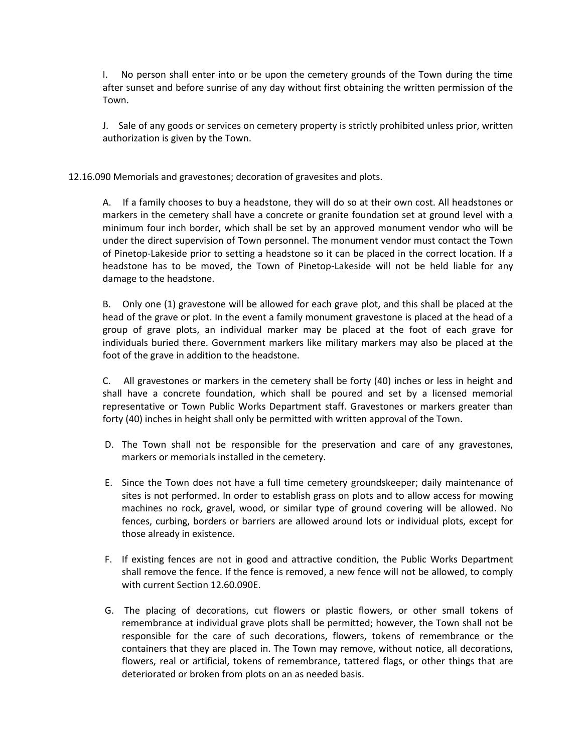I. No person shall enter into or be upon the cemetery grounds of the Town during the time after sunset and before sunrise of any day without first obtaining the written permission of the Town.

J. Sale of any goods or services on cemetery property is strictly prohibited unless prior, written authorization is given by the Town.

12.16.090 Memorials and gravestones; decoration of gravesites and plots.

A. If a family chooses to buy a headstone, they will do so at their own cost. All headstones or markers in the cemetery shall have a concrete or granite foundation set at ground level with a minimum four inch border, which shall be set by an approved monument vendor who will be under the direct supervision of Town personnel. The monument vendor must contact the Town of Pinetop-Lakeside prior to setting a headstone so it can be placed in the correct location. If a headstone has to be moved, the Town of Pinetop-Lakeside will not be held liable for any damage to the headstone.

B. Only one (1) gravestone will be allowed for each grave plot, and this shall be placed at the head of the grave or plot. In the event a family monument gravestone is placed at the head of a group of grave plots, an individual marker may be placed at the foot of each grave for individuals buried there. Government markers like military markers may also be placed at the foot of the grave in addition to the headstone.

C. All gravestones or markers in the cemetery shall be forty (40) inches or less in height and shall have a concrete foundation, which shall be poured and set by a licensed memorial representative or Town Public Works Department staff. Gravestones or markers greater than forty (40) inches in height shall only be permitted with written approval of the Town.

- D. The Town shall not be responsible for the preservation and care of any gravestones, markers or memorials installed in the cemetery.
- E. Since the Town does not have a full time cemetery groundskeeper; daily maintenance of sites is not performed. In order to establish grass on plots and to allow access for mowing machines no rock, gravel, wood, or similar type of ground covering will be allowed. No fences, curbing, borders or barriers are allowed around lots or individual plots, except for those already in existence.
- F. If existing fences are not in good and attractive condition, the Public Works Department shall remove the fence. If the fence is removed, a new fence will not be allowed, to comply with current Section 12.60.090E.
- G. The placing of decorations, cut flowers or plastic flowers, or other small tokens of remembrance at individual grave plots shall be permitted; however, the Town shall not be responsible for the care of such decorations, flowers, tokens of remembrance or the containers that they are placed in. The Town may remove, without notice, all decorations, flowers, real or artificial, tokens of remembrance, tattered flags, or other things that are deteriorated or broken from plots on an as needed basis.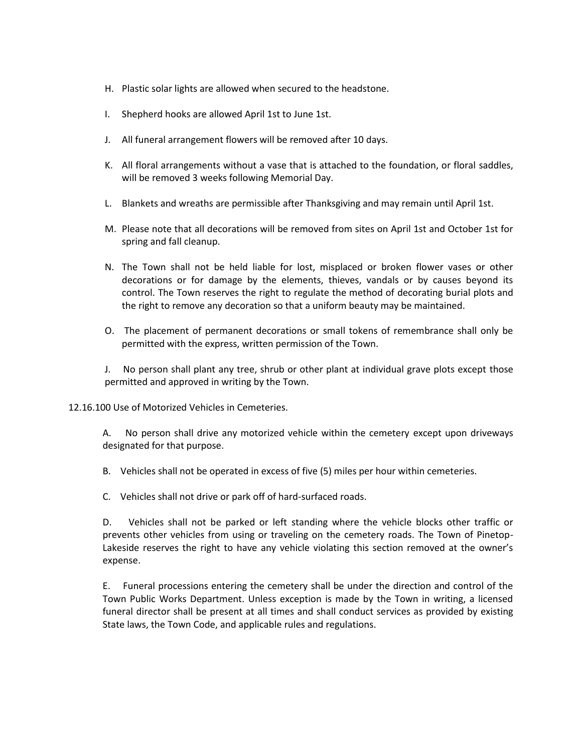- H. Plastic solar lights are allowed when secured to the headstone.
- I. Shepherd hooks are allowed April 1st to June 1st.
- J. All funeral arrangement flowers will be removed after 10 days.
- K. All floral arrangements without a vase that is attached to the foundation, or floral saddles, will be removed 3 weeks following Memorial Day.
- L. Blankets and wreaths are permissible after Thanksgiving and may remain until April 1st.
- M. Please note that all decorations will be removed from sites on April 1st and October 1st for spring and fall cleanup.
- N. The Town shall not be held liable for lost, misplaced or broken flower vases or other decorations or for damage by the elements, thieves, vandals or by causes beyond its control. The Town reserves the right to regulate the method of decorating burial plots and the right to remove any decoration so that a uniform beauty may be maintained.
- O. The placement of permanent decorations or small tokens of remembrance shall only be permitted with the express, written permission of the Town.

J. No person shall plant any tree, shrub or other plant at individual grave plots except those permitted and approved in writing by the Town.

12.16.100 Use of Motorized Vehicles in Cemeteries.

A. No person shall drive any motorized vehicle within the cemetery except upon driveways designated for that purpose.

- B. Vehicles shall not be operated in excess of five (5) miles per hour within cemeteries.
- C. Vehicles shall not drive or park off of hard-surfaced roads.

D. Vehicles shall not be parked or left standing where the vehicle blocks other traffic or prevents other vehicles from using or traveling on the cemetery roads. The Town of Pinetop-Lakeside reserves the right to have any vehicle violating this section removed at the owner's expense.

E. Funeral processions entering the cemetery shall be under the direction and control of the Town Public Works Department. Unless exception is made by the Town in writing, a licensed funeral director shall be present at all times and shall conduct services as provided by existing State laws, the Town Code, and applicable rules and regulations.